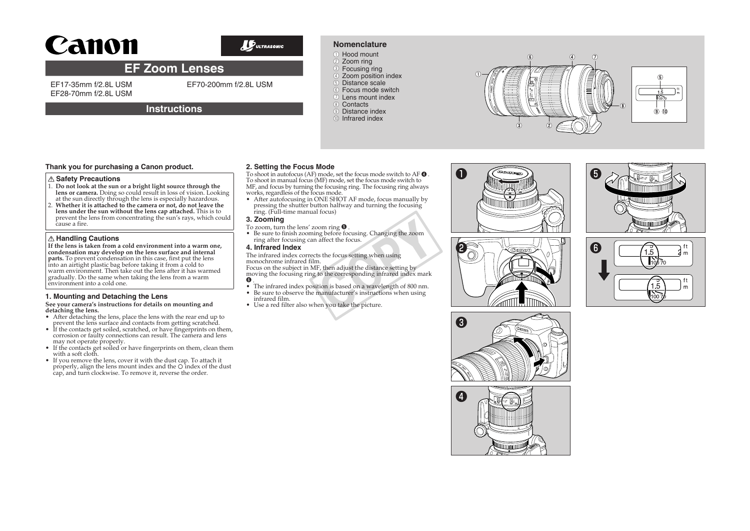# Canon



### **Nomenclature** ●① Hood mount

## **EF Zoom Lenses**

**Instructions**

EF17-35mm f/2.8L USM EF28-70mm f/2.8L USM EF70-200mm f/2.8L USM

#### 2 Zoom ring  $\overline{\circ}$  Focusing ring

- 4) Zoom position index
- **5** Distance scale ●⑥ Focus mode switch
- ●⑦ Lens mount index
- 8 Contacts
- **9** Distance index
- ●⑩ Infrared index



#### **Safety Precautions**

- 1. **Do not look at the sun or a bright light source through the lens or camera.** Doing so could result in loss of vision. Looking at the sun directly through the lens is especially hazardous.
- 2. **Whether it is attached to the camera or not, do not leave the lens under the sun without the lens cap attached.** This is to prevent the lens from concentrating the sun's rays, which could cause a fire.

#### **Handling Cautions**

**If the lens is taken from a cold environment into a warm one, condensation may develop on the lens surface and internal parts.** To prevent condensation in this case, first put the lens into an airtight plastic bag before taking it from a cold to warm envirōnment. Then take out the lens after it has warmed<br>gradually. Do the same when taking the lens from a warm environment into a cold one.

#### **1. Mounting and Detaching the Lens**

# **See your camera's instructions for details on mounting and**

- **detaching the lens.**<br>• After detaching the lens, place the lens with the rear end up to prevent the lens surface and contacts from getting scratched.
- If the contacts get soiled, scratched, or have fingerprints on them,<br>corrosion or faulty connections can result. The camera and lens<br>may not operate properly.
- If the contacts get soiled or have fingerprints on them, clean them<br>with a soft cloth.<br>If you remove the lens, cover it with the dust cap. To attach it
- properly, align the lens mount index and the O index of the dust cap, and turn clockwise. To remove it, reverse the order.

#### **2. Setting the Focus Mode**

To shoot in autofocus (AF) mode, set the focus mode switch to AF  $\bullet$  . To shoot in manual focus (MF) mode, set the focus mode switch to MF, and focus by turning the focusing ring. The focusing ring always works, regardless of the focus mode.

• After autofocusing in ONE SHOT AF mode, focus manually by pressing the shutter button halfway and turning the focusing ring. (Full-time manual focus)

#### **3. Zooming**

- To zoom, turn the lens' zoom ring ❺
- . Be sure to finish zooming before focusing. Changing the zoom ring after focusing can affect the focus.

#### **4. Infrared Index**

The infrared index corrects the focus setting when using monochrome infrared film.

Focus on the subject in MF, then adjust the distance setting by moving the focusing ring to the corresponding infrared index mark  $<sup>0</sup>$ </sup> oom ring ●.<br>ng before focusing. Changing the zoom<br>a affect the focus.<br>ts the focus setting when using<br>m.<br>T.F, then adjust the distance setting by<br>to the corresponding infrared index mark<br>ition is based on a wavelength of

- The infrared index position is based on a wavelength of 800 nm.<br>• Be sure to observe the manufacturer's instructions when using
- Be sure to observe the manufacturer's instructions when using infrared film.
- Use a red filter also when you take the picture.



●❷